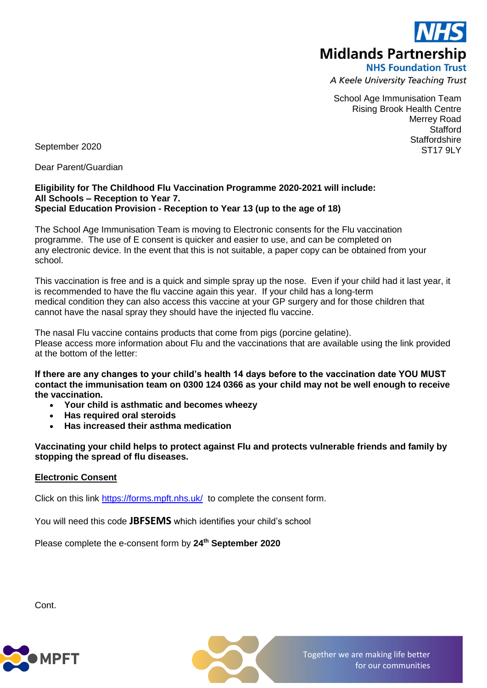

A Keele University Teaching Trust

School Age Immunisation Team Rising Brook Health Centre Merrey Road **Stafford Staffordshire** ST<sub>17</sub> QLY

September 2020

Dear Parent/Guardian

### **Eligibility for The Childhood Flu Vaccination Programme 2020-2021 will include: All Schools – Reception to Year 7. Special Education Provision - Reception to Year 13 (up to the age of 18)**

The School Age Immunisation Team is moving to Electronic consents for the Flu vaccination programme. The use of E consent is quicker and easier to use, and can be completed on any electronic device. In the event that this is not suitable, a paper copy can be obtained from your school.

This vaccination is free and is a quick and simple spray up the nose. Even if your child had it last year, it is recommended to have the flu vaccine again this year. If your child has a long-term medical condition they can also access this vaccine at your GP surgery and for those children that cannot have the nasal spray they should have the injected flu vaccine.

The nasal Flu vaccine contains products that come from pigs (porcine gelatine). Please access more information about Flu and the vaccinations that are available using the link provided at the bottom of the letter:

**If there are any changes to your child's health 14 days before to the vaccination date YOU MUST contact the immunisation team on 0300 124 0366 as your child may not be well enough to receive the vaccination.**

- **Your child is asthmatic and becomes wheezy**
- **Has required oral steroids**
- **Has increased their asthma medication**

**Vaccinating your child helps to protect against Flu and protects vulnerable friends and family by stopping the spread of flu diseases.**

# **Electronic Consent**

Click on this link <https://forms.mpft.nhs.uk/>to complete the consent form.

You will need this code **JBFSEMS** which identifies your child's school

Please complete the e-consent form by **24th September 2020**

Cont.